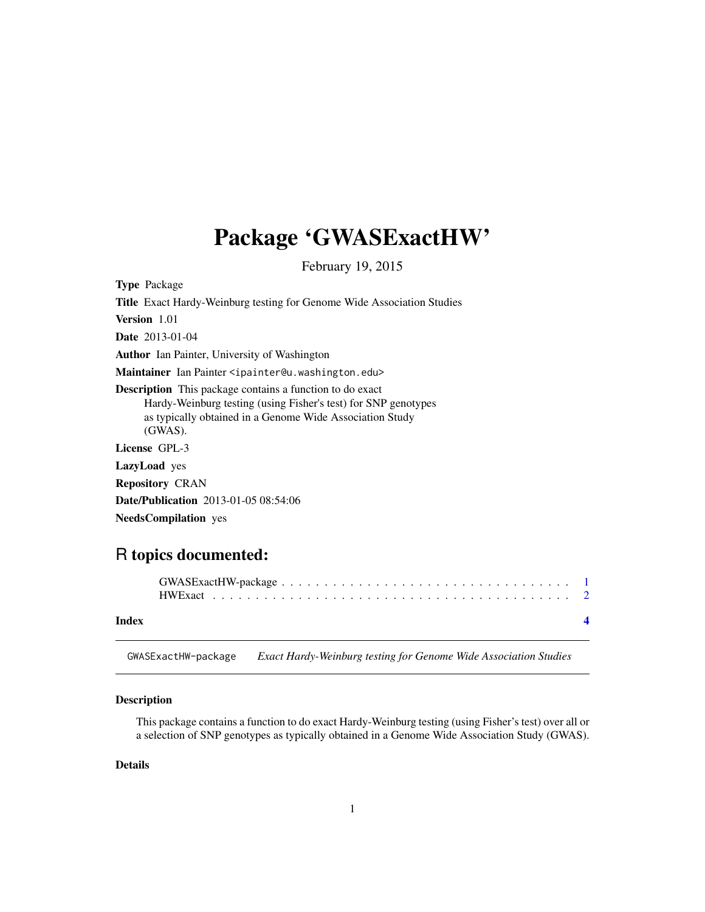## <span id="page-0-0"></span>Package 'GWASExactHW'

February 19, 2015

Type Package

| <b>Title</b> Exact Hardy-Weinburg testing for Genome Wide Association Studies                                                                                                                               |
|-------------------------------------------------------------------------------------------------------------------------------------------------------------------------------------------------------------|
| <b>Version</b> 1.01                                                                                                                                                                                         |
| <b>Date</b> 2013-01-04                                                                                                                                                                                      |
| <b>Author</b> Ian Painter, University of Washington                                                                                                                                                         |
| Maintainer Ian Painter <ipainter@u.washington.edu></ipainter@u.washington.edu>                                                                                                                              |
| <b>Description</b> This package contains a function to do exact<br>Hardy-Weinburg testing (using Fisher's test) for SNP genotypes<br>as typically obtained in a Genome Wide Association Study<br>$(GWAS)$ . |
| License GPL-3                                                                                                                                                                                               |
| <b>LazyLoad</b> yes                                                                                                                                                                                         |
| <b>Repository CRAN</b>                                                                                                                                                                                      |
| <b>Date/Publication</b> 2013-01-05 08:54:06                                                                                                                                                                 |
| <b>NeedsCompilation</b> yes                                                                                                                                                                                 |

### R topics documented:

| Index | $\blacksquare$ |
|-------|----------------|

GWASExactHW-package *Exact Hardy-Weinburg testing for Genome Wide Association Studies*

#### Description

This package contains a function to do exact Hardy-Weinburg testing (using Fisher's test) over all or a selection of SNP genotypes as typically obtained in a Genome Wide Association Study (GWAS).

#### Details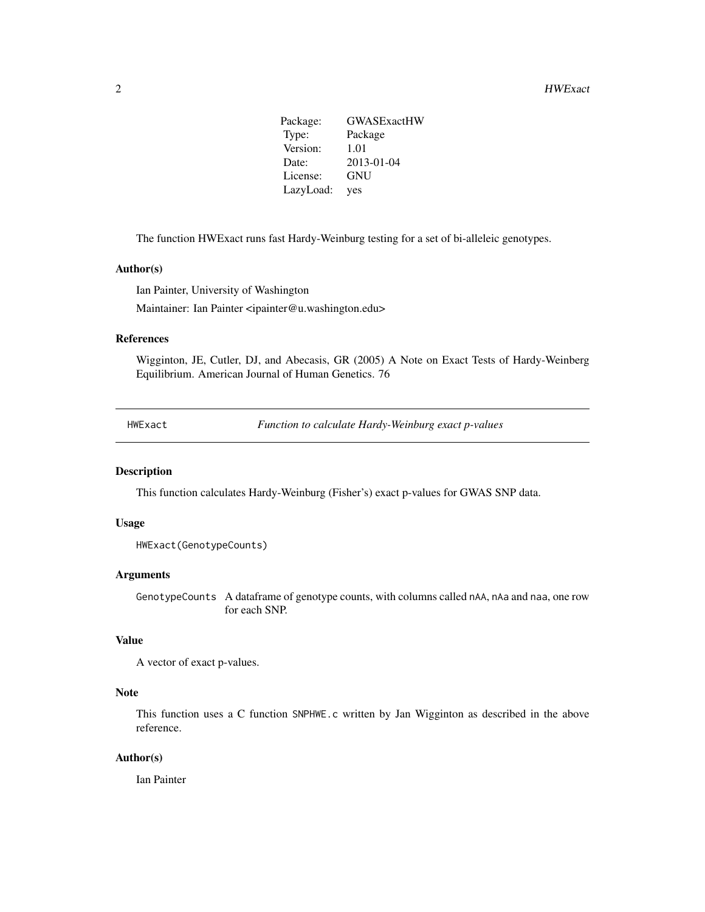Package: GWASExactHW Type: Package Version: 1.01 Date: 2013-01-04 License: GNU LazyLoad: yes

<span id="page-1-0"></span>The function HWExact runs fast Hardy-Weinburg testing for a set of bi-alleleic genotypes.

#### Author(s)

Ian Painter, University of Washington Maintainer: Ian Painter <ipainter@u.washington.edu>

#### References

Wigginton, JE, Cutler, DJ, and Abecasis, GR (2005) A Note on Exact Tests of Hardy-Weinberg Equilibrium. American Journal of Human Genetics. 76

HWExact *Function to calculate Hardy-Weinburg exact p-values*

#### Description

This function calculates Hardy-Weinburg (Fisher's) exact p-values for GWAS SNP data.

#### Usage

```
HWExact(GenotypeCounts)
```
#### Arguments

GenotypeCounts A dataframe of genotype counts, with columns called nAA, nAa and naa, one row for each SNP.

#### Value

```
A vector of exact p-values.
```
#### Note

This function uses a C function SNPHWE.c written by Jan Wigginton as described in the above reference.

#### Author(s)

Ian Painter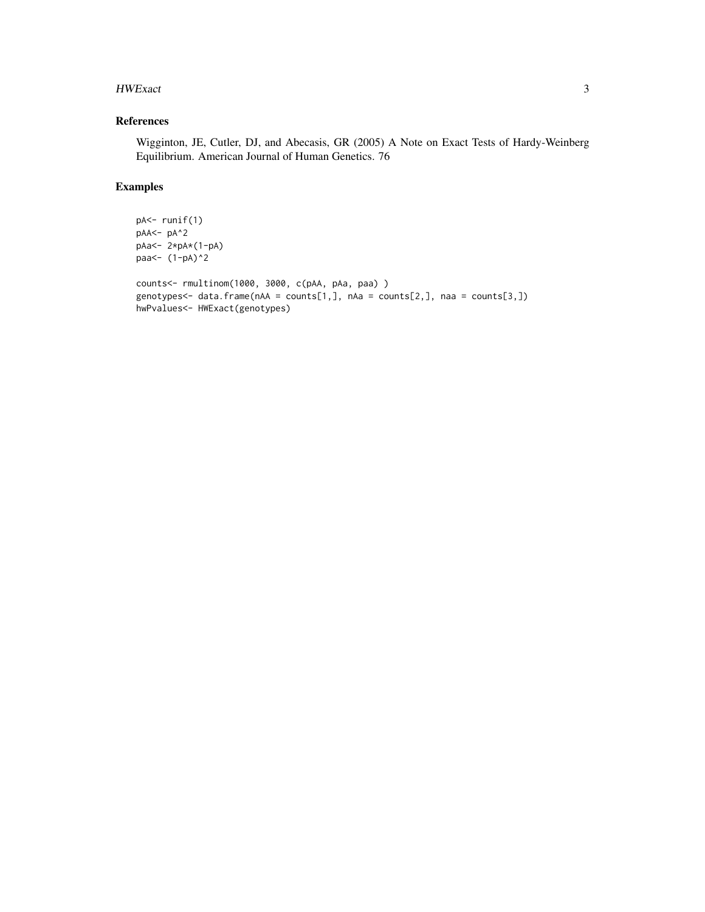#### HWExact 3

#### References

Wigginton, JE, Cutler, DJ, and Abecasis, GR (2005) A Note on Exact Tests of Hardy-Weinberg Equilibrium. American Journal of Human Genetics. 76

#### Examples

```
pA<- runif(1)
pAA<- pA^2
pAa<- 2*pA*(1-pA)
paa<- (1-pA)^2
counts<- rmultinom(1000, 3000, c(pAA, pAa, paa) )
genotypes<- data.frame(nAA = counts[1,], nAa = counts[2,], naa = counts[3,])
hwPvalues<- HWExact(genotypes)
```